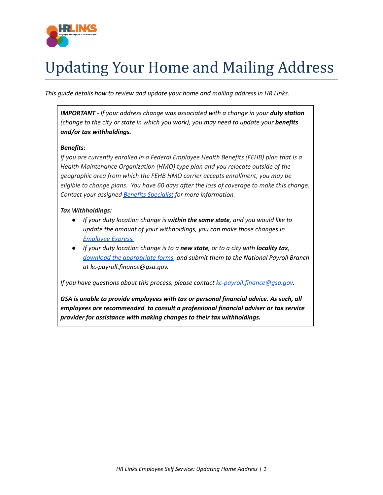

## Updating Your Home and Mailing Address

*This guide details how to review and update your home and mailing address in HR Links.*

*IMPORTANT - If your address change was associated with a change in your duty station (change to the city or state in which you work), you may need to update your benefits and/or tax withholdings.*

## *Benefits:*

*If you are currently enrolled in a Federal Employee Health Benefits (FEHB) plan that is a Health Maintenance Organization (HMO) type plan and you relocate outside of the geographic area from which the FEHB HMO carrier accepts enrollment, you may be eligible to change plans. You have 60 days after the loss of coverage to make this change. Contact your assigned Benefits [Specialist](https://insite.gsa.gov/topics/hr-pay-and-leave/benefits/benefits-and-retirement-specialists) for more information.*

## *Tax Withholdings:*

- *If your duty location change is within the same state, and you would like to update the amount of your withholdings, you can make those changes in [Employee](https://www.employeeexpress.gov/) Express.*
- *If your duty location change is to a new state, or to a city with locality tax, download the [appropriate](https://www.irs.gov/tax-professionals/government-sites) forms, and submit them to the National Payroll Branch at kc-payroll.finance@gsa.gov.*

*If you have questions about this process, please contact [kc-payroll.finance@gsa.gov.](mailto:kc-payroll.finance@gsa.gov)*

*GSA is unable to provide employees with tax or personal financial advice. As such, all employees are recommended to consult a professional financial adviser or tax service provider for assistance with making changes to their tax withholdings.*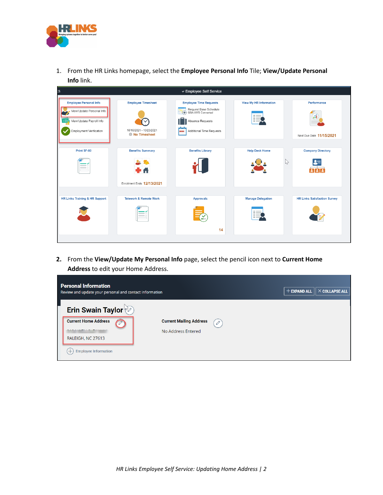

1. From the HR Links homepage, select the **Employee Personal Info** Tile; **View/Update Personal Info** link.

| S.                                                                                                                             |                                                                      | ∨ Employee Self Service                                                                                                                      |                                       |                                               |
|--------------------------------------------------------------------------------------------------------------------------------|----------------------------------------------------------------------|----------------------------------------------------------------------------------------------------------------------------------------------|---------------------------------------|-----------------------------------------------|
| <b>Employee Personal Info</b><br>View/Update Personal Info<br>View/Update Payroll Info<br>$\cdot$ O<br>Employment Verification | <b>Employee Timesheet</b><br>10/10/2021 - 10/23/2021<br>No Timesheet | <b>Employee Time Requests</b><br>Request Base Schedule<br>GSA AWS Converted<br>$+(+)$<br>Absence Requests<br>Additional Time Requests<br>888 | <b>View My HR Information</b>         | Performance<br>űl<br>Next Due Date 11/15/2021 |
| Print SF-50<br>--                                                                                                              | <b>Benefits Summary</b><br>r A<br>Enrollment Ends 12/13/2021         | <b>Benefits Library</b>                                                                                                                      | <b>Help Desk Home</b><br>$\mathbb{Z}$ | <b>Company Directory</b>                      |
| <b>HR Links Training &amp; HR Support</b>                                                                                      | <b>Telework &amp; Remote Work</b><br>$\sim$                          | <b>Approvals</b><br>≚<br>14                                                                                                                  | <b>Manage Delegation</b>              | <b>HR Links Satisfaction Survey</b>           |

**2.** From the **View/Update My Personal Info** page, select the pencil icon next to **Current Home Address** to edit your Home Address.

|                                     | $+$ EXPAND ALL | $\parallel$ $\times$ COLLAPSE ALL |
|-------------------------------------|----------------|-----------------------------------|
|                                     |                |                                   |
| <b>Current Mailing Address</b><br>D |                |                                   |
| No Address Entered                  |                |                                   |
|                                     |                |                                   |
|                                     |                |                                   |
|                                     |                |                                   |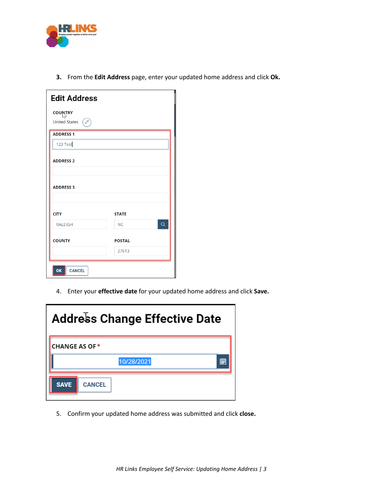

**3.** From the **Edit Address** page, enter your updated home address and click **Ok.**

| <b>Edit Address</b>                          |                             |  |  |
|----------------------------------------------|-----------------------------|--|--|
| <b>COUNTRY</b><br>$\varphi$<br>United States |                             |  |  |
| <b>ADDRESS 1</b>                             |                             |  |  |
| 123 Test                                     |                             |  |  |
| <b>ADDRESS 2</b>                             |                             |  |  |
| <b>ADDRESS 3</b>                             |                             |  |  |
| <b>CITY</b>                                  | <b>STATE</b>                |  |  |
| <b>RALEIGH</b>                               | $\overline{Q}$<br><b>NC</b> |  |  |
| <b>COUNTY</b>                                | <b>POSTAL</b><br>27613      |  |  |
| <b>CANCEL</b><br>OK                          |                             |  |  |

4. Enter your **effective date** for your updated home address and click **Save.**

| <b>Address Change Effective Date</b> |   |  |  |
|--------------------------------------|---|--|--|
| <b>CHANGE AS OF *</b>                |   |  |  |
| 10/28/2021                           | 懎 |  |  |
| <b>SAVE</b><br><b>CANCEL</b>         |   |  |  |

5. Confirm your updated home address was submitted and click **close.**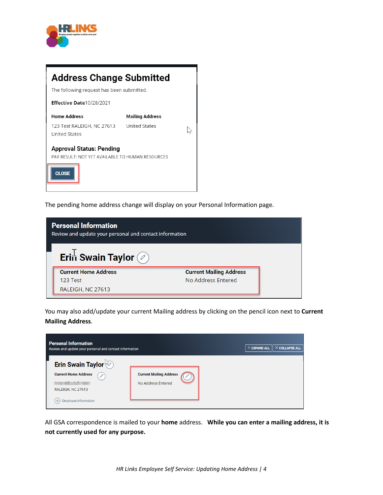

| <b>Address Change Submitted</b><br>The following request has been submitted.                        |                        |  |  |
|-----------------------------------------------------------------------------------------------------|------------------------|--|--|
| Effective Date10/28/2021                                                                            |                        |  |  |
| <b>Home Address</b>                                                                                 | <b>Mailing Address</b> |  |  |
| 123 Test RALEIGH, NC 27613<br><b>United States</b>                                                  | <b>United States</b>   |  |  |
| <b>Approval Status: Pending</b><br>PAR RESULT: NOT YET AVAILABLE TO HUMAN RESOURCES<br><b>CLOSE</b> |                        |  |  |

The pending home address change will display on your Personal Information page.

| <b>Personal Information</b><br>Review and update your personal and contact information |                                |  |  |
|----------------------------------------------------------------------------------------|--------------------------------|--|--|
| Erin Swain Taylor (2)                                                                  |                                |  |  |
| <b>Current Home Address</b>                                                            | <b>Current Mailing Address</b> |  |  |
| 123 Test                                                                               | No Address Entered             |  |  |
| RALEIGH, NC 27613                                                                      |                                |  |  |

You may also add/update your current Mailing address by clicking on the pencil icon next to **Current Mailing Address**.

| <b>Personal Information</b><br>Review and update your personal and contact information |                                | $+$ EXPAND ALL<br>$\times$ COLLAPSE ALL |
|----------------------------------------------------------------------------------------|--------------------------------|-----------------------------------------|
| Erin Swain Taylor                                                                      |                                |                                         |
| <b>Current Home Address</b><br>0                                                       | <b>Current Mailing Address</b> |                                         |
|                                                                                        | No Address Entered             |                                         |
| RALEIGH, NC 27613                                                                      |                                |                                         |
| <b>Employee Information</b>                                                            |                                |                                         |

All GSA correspondence is mailed to your **home** address. **While you can enter a mailing address, it is not currently used for any purpose.**